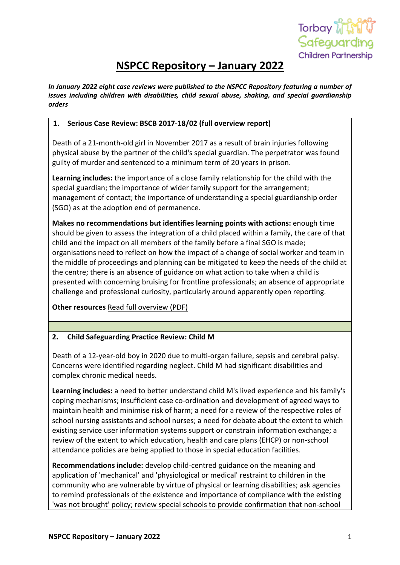

# **NSPCC Repository – January 2022**

*In January 2022 eight case reviews were published to the NSPCC Repository featuring a number of issues including children with disabilities, child sexual abuse, shaking, and special guardianship orders*

## **1. Serious Case Review: BSCB 2017-18/02 (full overview report)**

Death of a 21-month-old girl in November 2017 as a result of brain injuries following physical abuse by the partner of the child's special guardian. The perpetrator was found guilty of murder and sentenced to a minimum term of 20 years in prison.

**Learning includes:** the importance of a close family relationship for the child with the special guardian; the importance of wider family support for the arrangement; management of contact; the importance of understanding a special guardianship order (SGO) as at the adoption end of permanence.

**Makes no recommendations but identifies learning points with actions:** enough time should be given to assess the integration of a child placed within a family, the care of that child and the impact on all members of the family before a final SGO is made; organisations need to reflect on how the impact of a change of social worker and team in the middle of proceedings and planning can be mitigated to keep the needs of the child at the centre; there is an absence of guidance on what action to take when a child is presented with concerning bruising for frontline professionals; an absence of appropriate challenge and professional curiosity, particularly around apparently open reporting.

**Other resources** [Read full overview \(PDF\)](https://library.nspcc.org.uk/HeritageScripts/Hapi.dll/filetransfer/2021BirminghamBSCB_2017.18.02Overview.pdf?filename=AA58F75CEDE68892A73FB681FE246B8371684F102152F0AA780A14959D3BCE5767137B3B2A935011CBAEC3068664FF681AA6D2524E357BAB96C006752CCD756759AD77BD1E389823A55CFAAE74B2EE64F46C611AD1724BE1AC50776136E2AAAFFECACF78E8277CE127A1318156E511CE4A04C06E84FD68BC16AD8413FB334325D92EBAD0758589EFBCA898BF5FD9573C0063CD199256B77C8B5533E954DCC3B3583D&DataSetName=LIVEDATA)

# **2. Child Safeguarding Practice Review: Child M**

Death of a 12-year-old boy in 2020 due to multi-organ failure, sepsis and cerebral palsy. Concerns were identified regarding neglect. Child M had significant disabilities and complex chronic medical needs.

**Learning includes:** a need to better understand child M's lived experience and his family's coping mechanisms; insufficient case co-ordination and development of agreed ways to maintain health and minimise risk of harm; a need for a review of the respective roles of school nursing assistants and school nurses; a need for debate about the extent to which existing service user information systems support or constrain information exchange; a review of the extent to which education, health and care plans (EHCP) or non-school attendance policies are being applied to those in special education facilities.

**Recommendations include:** develop child-centred guidance on the meaning and application of 'mechanical' and 'physiological or medical' restraint to children in the community who are vulnerable by virtue of physical or learning disabilities; ask agencies to remind professionals of the existence and importance of compliance with the existing 'was not brought' policy; review special schools to provide confirmation that non-school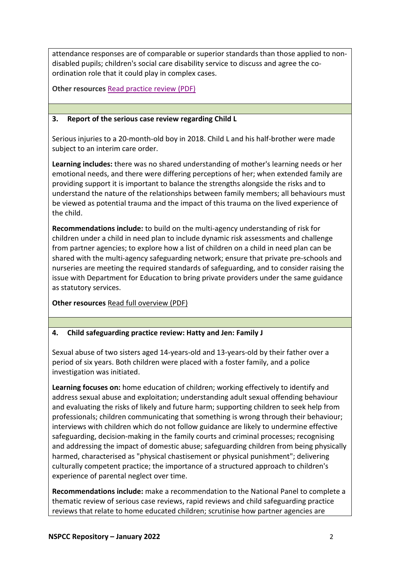attendance responses are of comparable or superior standards than those applied to nondisabled pupils; children's social care disability service to discuss and agree the coordination role that it could play in complex cases.

**Other resources** [Read practice review \(PDF\)](https://library.nspcc.org.uk/HeritageScripts/Hapi.dll/filetransfer/2021HarrowChildMCSPR.pdf?filename=AA58F75CEDE68892A73FB681FE246B8371684F102152F0AA780A14959D3BCE5767137B3B2A935011CBAEC3068664FF681AA6D2524E357BAB96C006752CCD756759AD77BD1E389823A55CFAAE74B2EE64F46C611AD1724BE1AC50776136E2AAAFFECACF78E82D74E138A728A556ED10E85404D161E4E329EF5EF7794E02C8FFA3FC52083509C621C5CAF7CB5D0431CC2FDB&DataSetName=LIVEDATA)

## **3. Report of the serious case review regarding Child L**

Serious injuries to a 20-month-old boy in 2018. Child L and his half-brother were made subject to an interim care order.

**Learning includes:** there was no shared understanding of mother's learning needs or her emotional needs, and there were differing perceptions of her; when extended family are providing support it is important to balance the strengths alongside the risks and to understand the nature of the relationships between family members; all behaviours must be viewed as potential trauma and the impact of this trauma on the lived experience of the child.

**Recommendations include:** to build on the multi-agency understanding of risk for children under a child in need plan to include dynamic risk assessments and challenge from partner agencies; to explore how a list of children on a child in need plan can be shared with the multi-agency safeguarding network; ensure that private pre-schools and nurseries are meeting the required standards of safeguarding, and to consider raising the issue with Department for Education to bring private providers under the same guidance as statutory services.

**Other resources** [Read full overview \(PDF\)](https://library.nspcc.org.uk/HeritageScripts/Hapi.dll/filetransfer/2021HertfordshireChildLOverview.pdf?filename=AA58F75CEDE68892A73FB681FE246B8371684F102152F0AA780A14959D3BCE5767137B3B2A935011CBAEC3068664FF681AA6D2524E357BAB96C006752CCD756759AD77BD1E389823A55CFAAE74B2EE64F46C611AD1724BE1AC50776136E2AAAFFECACF78E82D70E13EAE30945AF714E56B22C159DFA13DC777EAD94FBD686924922CA8DFCF9E3D4A113D92094BC55C7EB89A91D03F9CA540524EDCDE&DataSetName=LIVEDATA)

# **4. Child safeguarding practice review: Hatty and Jen: Family J**

Sexual abuse of two sisters aged 14-years-old and 13-years-old by their father over a period of six years. Both children were placed with a foster family, and a police investigation was initiated.

**Learning focuses on:** home education of children; working effectively to identify and address sexual abuse and exploitation; understanding adult sexual offending behaviour and evaluating the risks of likely and future harm; supporting children to seek help from professionals; children communicating that something is wrong through their behaviour; interviews with children which do not follow guidance are likely to undermine effective safeguarding, decision-making in the family courts and criminal processes; recognising and addressing the impact of domestic abuse; safeguarding children from being physically harmed, characterised as "physical chastisement or physical punishment"; delivering culturally competent practice; the importance of a structured approach to children's experience of parental neglect over time.

**Recommendations include:** make a recommendation to the National Panel to complete a thematic review of serious case reviews, rapid reviews and child safeguarding practice reviews that relate to home educated children; scrutinise how partner agencies are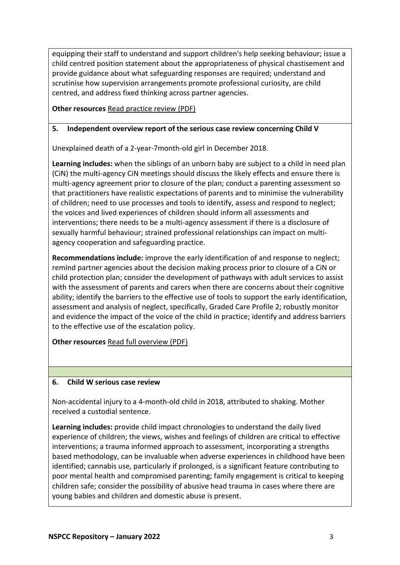equipping their staff to understand and support children's help seeking behaviour; issue a child centred position statement about the appropriateness of physical chastisement and provide guidance about what safeguarding responses are required; understand and scrutinise how supervision arrangements promote professional curiosity, are child centred, and address fixed thinking across partner agencies.

**Other resources** [Read practice review \(PDF\)](https://library.nspcc.org.uk/HeritageScripts/Hapi.dll/filetransfer/2021AnonymousHattieAndJenFamilyJCSPR.pdf?filename=AA58F75CEDE68892A73FB681FE246B8371684F102152F0AA780A14959D3BCE5767137B3B2A935011CBAEC3068664FF681AA6D2524E357BAB96C006752CCD756759AD77BD1E389823A55CFAAE74B2EE64F46C611AD1724BE1AC50776136E2AAAFFECACF78E8247BFC24B132894BF734ED6D33EB54F7A33DC15DF2FA5CA668602AF61F9FE942DCD7FBBEB88151BC8F6D3FB0322C5577ECFF4B7A28E1ED85A0D171EF&DataSetName=LIVEDATA)

## **5. Independent overview report of the serious case review concerning Child V**

Unexplained death of a 2-year-7month-old girl in December 2018.

**Learning includes:** when the siblings of an unborn baby are subject to a child in need plan (CiN) the multi-agency CiN meetings should discuss the likely effects and ensure there is multi-agency agreement prior to closure of the plan; conduct a parenting assessment so that practitioners have realistic expectations of parents and to minimise the vulnerability of children; need to use processes and tools to identify, assess and respond to neglect; the voices and lived experiences of children should inform all assessments and interventions; there needs to be a multi-agency assessment if there is a disclosure of sexually harmful behaviour; strained professional relationships can impact on multiagency cooperation and safeguarding practice.

**Recommendations include:** improve the early identification of and response to neglect; remind partner agencies about the decision making process prior to closure of a CiN or child protection plan; consider the development of pathways with adult services to assist with the assessment of parents and carers when there are concerns about their cognitive ability; identify the barriers to the effective use of tools to support the early identification, assessment and analysis of neglect, specifically, Graded Care Profile 2; robustly monitor and evidence the impact of the voice of the child in practice; identify and address barriers to the effective use of the escalation policy.

**Other resources** [Read full overview \(PDF\)](https://library.nspcc.org.uk/HeritageScripts/Hapi.dll/filetransfer/2020BuckinghamshireChildVOverview.pdf?filename=AA58F75CEDE68892A73FB681FE246B8371684F102152F0AA780A14959D3BCE5767137B3B2A935011CBAEC3068664FF681AA6D2524E357BAB96C006752CCD756759AD77BD1E389823A55CFAAE74B2EE64F46C611AD1724BE1AC50776136E3AAAFFECACF78E92760F021A1318156E511FF712EF054F5A530E75CCAF34BAE737A3AD92BE2C97494880B77F7A8BA9706B42C497AD2A899B225E85586DFF27456&DataSetName=LIVEDATA)

#### **6. Child W serious case review**

Non-accidental injury to a 4-month-old child in 2018, attributed to shaking. Mother received a custodial sentence.

**Learning includes:** provide child impact chronologies to understand the daily lived experience of children; the views, wishes and feelings of children are critical to effective interventions; a trauma informed approach to assessment, incorporating a strengths based methodology, can be invaluable when adverse experiences in childhood have been identified; cannabis use, particularly if prolonged, is a significant feature contributing to poor mental health and compromised parenting; family engagement is critical to keeping children safe; consider the possibility of abusive head trauma in cases where there are young babies and children and domestic abuse is present.